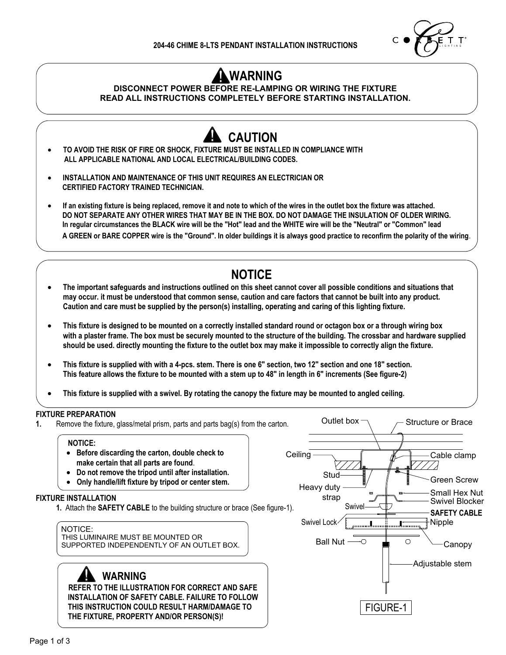

FIGURE-1

## **WARNING**

#### **DISCONNECT POWER BEFORE RE-LAMPING OR WIRING THE FIXTURE READ ALL INSTRUCTIONS COMPLETELY BEFORE STARTING INSTALLATION.**



#### **WARNING**

 **REFER TO THE ILLUSTRATION FOR CORRECT AND SAFE INSTALLATION OF SAFETY CABLE. FAILURE TO FOLLOW THIS INSTRUCTION COULD RESULT HARM/DAMAGE TO THE FIXTURE, PROPERTY AND/OR PERSON(S)!**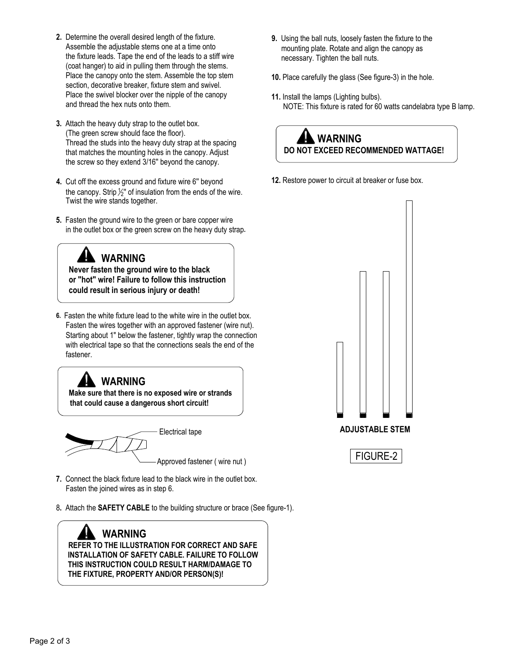- **2.** Determine the overall desired length of the fixture. Assemble the adjustable stems one at a time onto the fixture leads. Tape the end of the leads to a stiff wire (coat hanger) to aid in pulling them through the stems. Place the canopy onto the stem. Assemble the top stem section, decorative breaker, fixture stem and swivel. Place the swivel blocker over the nipple of the canopy and thread the hex nuts onto them.
- **3.** Attach the heavy duty strap to the outlet box. (The green screw should face the floor). Thread the studs into the heavy duty strap at the spacing that matches the mounting holes in the canopy. Adjust the screw so they extend 3/16'' beyond the canopy.
- **4.** Cut off the excess ground and fixture wire 6'' beyond the canopy. Strip  $\frac{1}{2}$ " of insulation from the ends of the wire. Twist the wire stands together.
- **5.** Fasten the ground wire to the green or bare copper wire in the outlet box or the green screw on the heavy duty strap**.**

### **WARNING**

 **Never fasten the ground wire to the black or "hot" wire! Failure to follow this instruction could result in serious injury or death!**

**6.** Fasten the white fixture lead to the white wire in the outlet box. Fasten the wires together with an approved fastener (wire nut). Starting about 1" below the fastener, tightly wrap the connection with electrical tape so that the connections seals the end of the fastener.

# **WARNING**

 **Make sure that there is no exposed wire or strands that could cause a dangerous short circuit!** 



Approved fastener ( wire nut )

- **7.** Connect the black fixture lead to the black wire in the outlet box. Fasten the joined wires as in step 6.
- 8**.** Attach the **SAFETY CABLE** to the building structure or brace (See figure-1).

 **WARNING REFER TO THE ILLUSTRATION FOR CORRECT AND SAFE INSTALLATION OF SAFETY CABLE. FAILURE TO FOLLOW THIS INSTRUCTION COULD RESULT HARM/DAMAGE TO THE FIXTURE, PROPERTY AND/OR PERSON(S)!**

- **9.** Using the ball nuts, loosely fasten the fixture to the mounting plate. Rotate and align the canopy as necessary. Tighten the ball nuts.
- **10.** Place carefully the glass (See figure-3) in the hole.
- **11.** Install the lamps (Lighting bulbs). NOTE: This fixture is rated for 60 watts candelabra type B lamp.

### **WARNING DO NOT EXCEED RECOMMENDED WATTAGE!**

**12.** Restore power to circuit at breaker or fuse box.